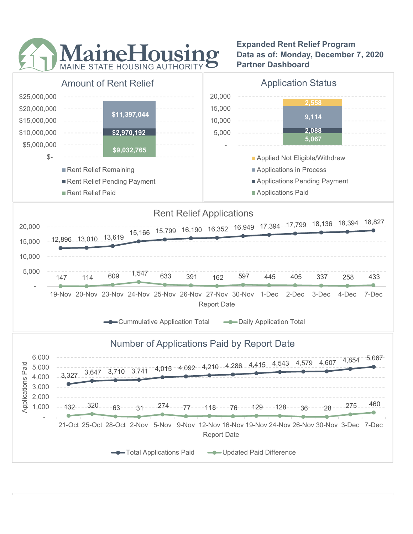

Expanded Rent Relief Program Data as of: Monday, December 7, 2020 Partner Dashboard